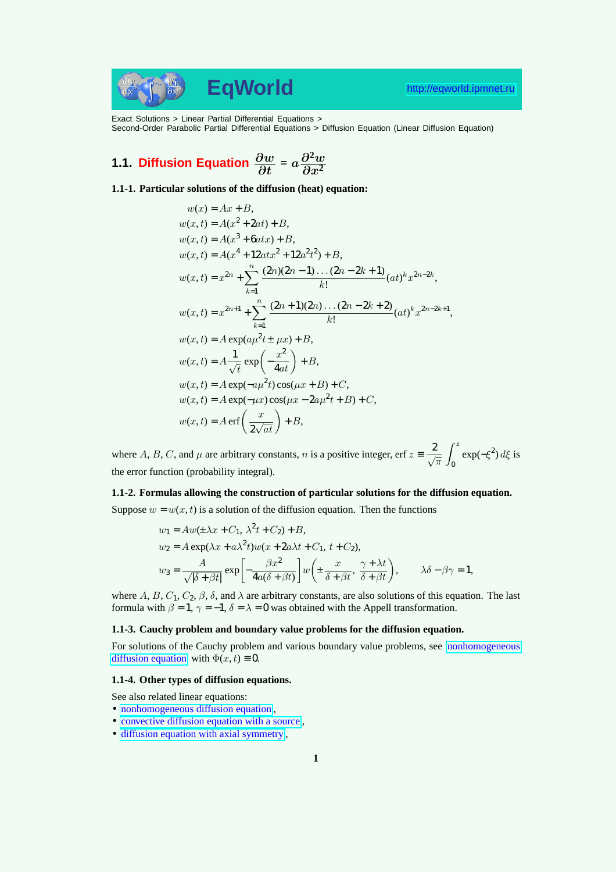Exact Solutions > Linear Partial Differential Equations > Second-Order Parabolic Partial Differential Equations > Diffusion Equation (Linear Diffusion Equation)

# **1.1. Diffusion Equation**  $\frac{\partial w}{\partial t} = a \frac{\partial^2 w}{\partial x^2}$  $\overline{\partial x^2}$

**1.1-1. Particular solutions of the diffusion (heat) equation:**

$$
w(x) = Ax + B,
$$
  
\n
$$
w(x,t) = A(x^2 + 2at) + B,
$$
  
\n
$$
w(x,t) = A(x^3 + 6at x) + B,
$$
  
\n
$$
w(x,t) = A(x^4 + 12at x^2 + 12a^2t^2) + B,
$$
  
\n
$$
w(x,t) = x^{2n} + \sum_{k=1}^{n} \frac{(2n)(2n-1)\dots(2n-2k+1)}{k!} (at)^k x^{2n-2k},
$$
  
\n
$$
w(x,t) = x^{2n+1} + \sum_{k=1}^{n} \frac{(2n+1)(2n)\dots(2n-2k+2)}{k!} (at)^k x^{2n-2k+1},
$$
  
\n
$$
w(x,t) = A \exp(a\mu^2t \pm \mu x) + B,
$$
  
\n
$$
w(x,t) = A \frac{1}{\sqrt{t}} \exp\left(-\frac{x^2}{4at}\right) + B,
$$
  
\n
$$
w(x,t) = A \exp(-a\mu^2t) \cos(\mu x + B) + C,
$$
  
\n
$$
w(x,t) = A \exp(-\mu x) \cos(\mu x - 2a\mu^2t + B) + C,
$$
  
\n
$$
w(x,t) = A \exp\left(-\frac{x}{2\sqrt{at}}\right) + B,
$$

where A, B, C, and  $\mu$  are arbitrary constants, n is a positive integer, erf  $z = \frac{2}{\sqrt{\pi}}$  $\int f^2$ 0  $\exp(-\xi^2) d\xi$  is the error function (probability integral).

#### **1.1-2. Formulas allowing the construction of particular solutions for the diffusion equation.**

Suppose  $w = w(x, t)$  is a solution of the diffusion equation. Then the functions

$$
w_1 = Aw(\pm \lambda x + C_1, \lambda^2 t + C_2) + B,
$$
  
\n
$$
w_2 = A \exp(\lambda x + a\lambda^2 t) w(x + 2a\lambda t + C_1, t + C_2),
$$
  
\n
$$
w_3 = \frac{A}{\sqrt{|\delta + \beta t|}} \exp\left[-\frac{\beta x^2}{4a(\delta + \beta t)}\right] w\left(\pm \frac{x}{\delta + \beta t}, \frac{\gamma + \lambda t}{\delta + \beta t}\right), \qquad \lambda \delta - \beta \gamma = 1,
$$

where A, B,  $C_1$ ,  $C_2$ ,  $\beta$ ,  $\delta$ , and  $\lambda$  are arbitrary constants, are also solutions of this equation. The last formula with  $\beta = 1$ ,  $\gamma = -1$ ,  $\delta = \lambda = 0$  was obtained with the Appell transformation.

### **1.1-3. Cauchy problem and boundary value problems for the diffusion equation.**

For solutions of the Cauchy problem and various boundary value problems, see nonhomogeneous diffusion equation with  $\Phi(x, t) \equiv 0$ .

### **1.1-4. Other types of diffusion equations.**

See also related linear equations:

- [nonhomogeneou](http://eqworld.ipmnet.ru/en/solutions/lpde/lpde102.pdf)s diffusion equation,
- convective diffusion equation with a source,
- diffusion equation with axial symmetry ,